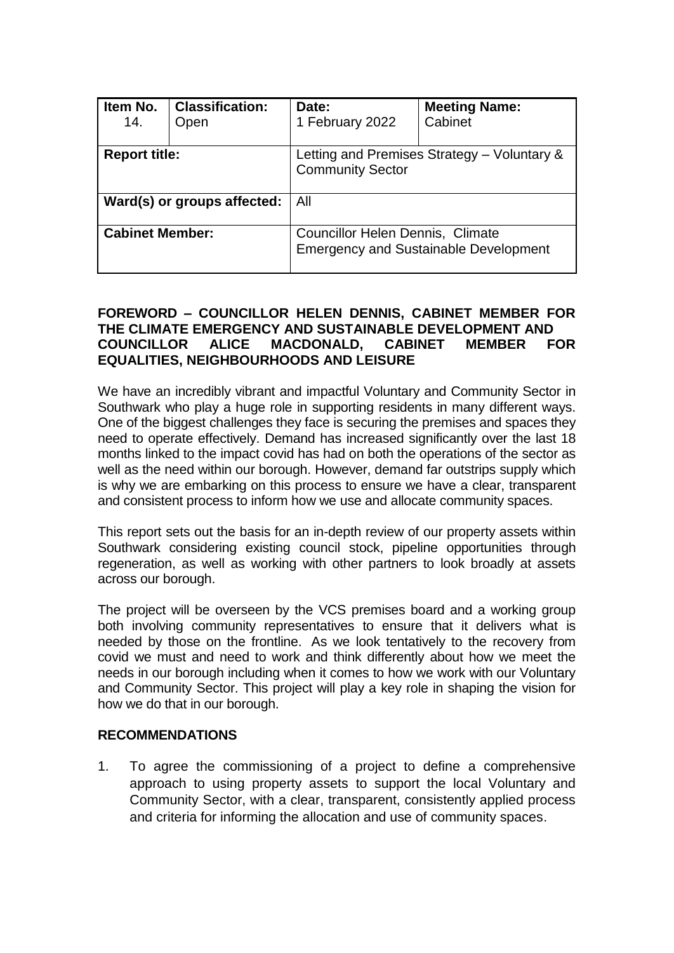| Item No.<br>14.             | <b>Classification:</b><br>Open | Date:<br>1 February 2022                                                         | <b>Meeting Name:</b><br>Cabinet |  |
|-----------------------------|--------------------------------|----------------------------------------------------------------------------------|---------------------------------|--|
| <b>Report title:</b>        |                                | Letting and Premises Strategy – Voluntary &<br><b>Community Sector</b>           |                                 |  |
| Ward(s) or groups affected: |                                | All                                                                              |                                 |  |
| <b>Cabinet Member:</b>      |                                | Councillor Helen Dennis, Climate<br><b>Emergency and Sustainable Development</b> |                                 |  |

# **FOREWORD – COUNCILLOR HELEN DENNIS, CABINET MEMBER FOR THE CLIMATE EMERGENCY AND SUSTAINABLE DEVELOPMENT AND COUNCILLOR ALICE MACDONALD, CABINET MEMBER FOR EQUALITIES, NEIGHBOURHOODS AND LEISURE**

We have an incredibly vibrant and impactful Voluntary and Community Sector in Southwark who play a huge role in supporting residents in many different ways. One of the biggest challenges they face is securing the premises and spaces they need to operate effectively. Demand has increased significantly over the last 18 months linked to the impact covid has had on both the operations of the sector as well as the need within our borough. However, demand far outstrips supply which is why we are embarking on this process to ensure we have a clear, transparent and consistent process to inform how we use and allocate community spaces.

This report sets out the basis for an in-depth review of our property assets within Southwark considering existing council stock, pipeline opportunities through regeneration, as well as working with other partners to look broadly at assets across our borough.

The project will be overseen by the VCS premises board and a working group both involving community representatives to ensure that it delivers what is needed by those on the frontline. As we look tentatively to the recovery from covid we must and need to work and think differently about how we meet the needs in our borough including when it comes to how we work with our Voluntary and Community Sector. This project will play a key role in shaping the vision for how we do that in our borough.

# **RECOMMENDATIONS**

1. To agree the commissioning of a project to define a comprehensive approach to using property assets to support the local Voluntary and Community Sector, with a clear, transparent, consistently applied process and criteria for informing the allocation and use of community spaces.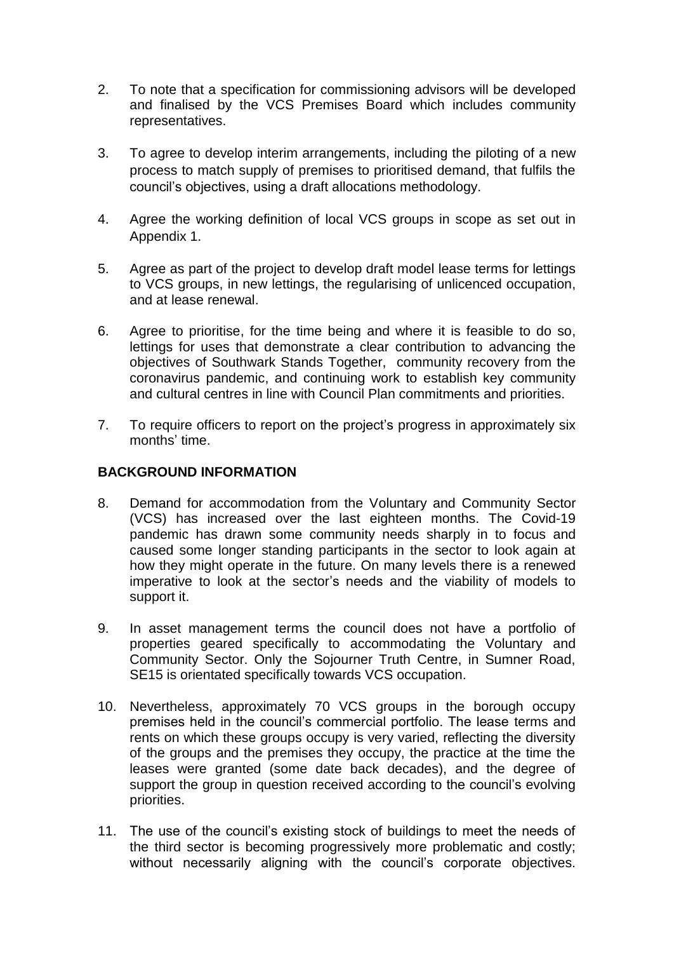- 2. To note that a specification for commissioning advisors will be developed and finalised by the VCS Premises Board which includes community representatives.
- 3. To agree to develop interim arrangements, including the piloting of a new process to match supply of premises to prioritised demand, that fulfils the council's objectives, using a draft allocations methodology.
- 4. Agree the working definition of local VCS groups in scope as set out in Appendix 1.
- 5. Agree as part of the project to develop draft model lease terms for lettings to VCS groups, in new lettings, the regularising of unlicenced occupation, and at lease renewal.
- 6. Agree to prioritise, for the time being and where it is feasible to do so, lettings for uses that demonstrate a clear contribution to advancing the objectives of Southwark Stands Together, community recovery from the coronavirus pandemic, and continuing work to establish key community and cultural centres in line with Council Plan commitments and priorities.
- 7. To require officers to report on the project's progress in approximately six months' time.

# **BACKGROUND INFORMATION**

- 8. Demand for accommodation from the Voluntary and Community Sector (VCS) has increased over the last eighteen months. The Covid-19 pandemic has drawn some community needs sharply in to focus and caused some longer standing participants in the sector to look again at how they might operate in the future. On many levels there is a renewed imperative to look at the sector's needs and the viability of models to support it.
- 9. In asset management terms the council does not have a portfolio of properties geared specifically to accommodating the Voluntary and Community Sector. Only the Sojourner Truth Centre, in Sumner Road, SE15 is orientated specifically towards VCS occupation.
- 10. Nevertheless, approximately 70 VCS groups in the borough occupy premises held in the council's commercial portfolio. The lease terms and rents on which these groups occupy is very varied, reflecting the diversity of the groups and the premises they occupy, the practice at the time the leases were granted (some date back decades), and the degree of support the group in question received according to the council's evolving priorities.
- 11. The use of the council's existing stock of buildings to meet the needs of the third sector is becoming progressively more problematic and costly; without necessarily aligning with the council's corporate objectives.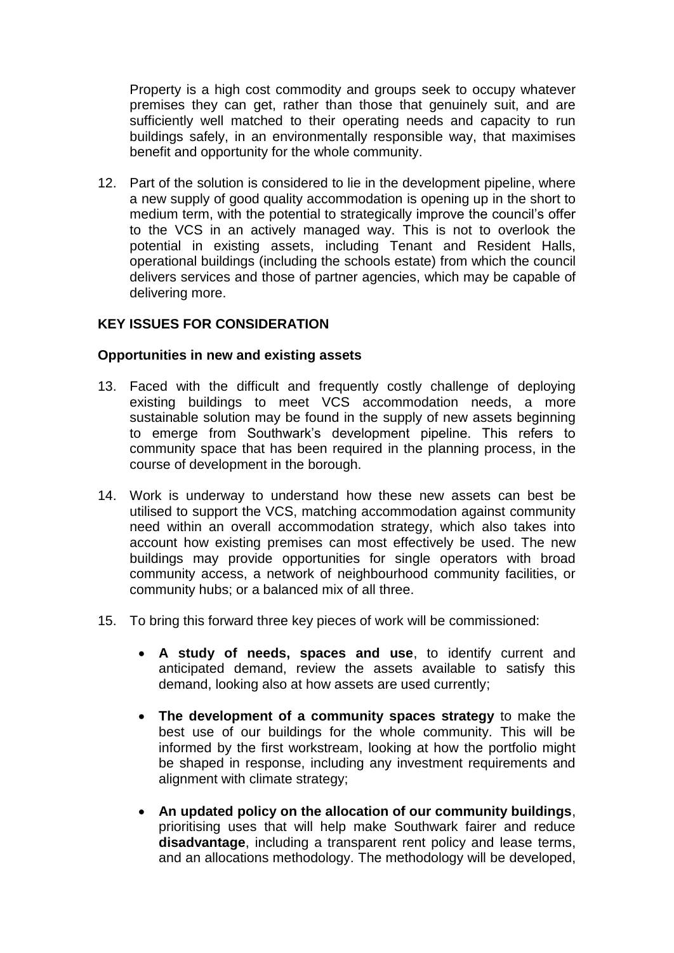Property is a high cost commodity and groups seek to occupy whatever premises they can get, rather than those that genuinely suit, and are sufficiently well matched to their operating needs and capacity to run buildings safely, in an environmentally responsible way, that maximises benefit and opportunity for the whole community.

12. Part of the solution is considered to lie in the development pipeline, where a new supply of good quality accommodation is opening up in the short to medium term, with the potential to strategically improve the council's offer to the VCS in an actively managed way. This is not to overlook the potential in existing assets, including Tenant and Resident Halls, operational buildings (including the schools estate) from which the council delivers services and those of partner agencies, which may be capable of delivering more.

# **KEY ISSUES FOR CONSIDERATION**

# **Opportunities in new and existing assets**

- 13. Faced with the difficult and frequently costly challenge of deploying existing buildings to meet VCS accommodation needs, a more sustainable solution may be found in the supply of new assets beginning to emerge from Southwark's development pipeline. This refers to community space that has been required in the planning process, in the course of development in the borough.
- 14. Work is underway to understand how these new assets can best be utilised to support the VCS, matching accommodation against community need within an overall accommodation strategy, which also takes into account how existing premises can most effectively be used. The new buildings may provide opportunities for single operators with broad community access, a network of neighbourhood community facilities, or community hubs; or a balanced mix of all three.
- 15. To bring this forward three key pieces of work will be commissioned:
	- **A study of needs, spaces and use**, to identify current and anticipated demand, review the assets available to satisfy this demand, looking also at how assets are used currently;
	- **The development of a community spaces strategy** to make the best use of our buildings for the whole community. This will be informed by the first workstream, looking at how the portfolio might be shaped in response, including any investment requirements and alignment with climate strategy;
	- **An updated policy on the allocation of our community buildings**, prioritising uses that will help make Southwark fairer and reduce **disadvantage**, including a transparent rent policy and lease terms, and an allocations methodology. The methodology will be developed,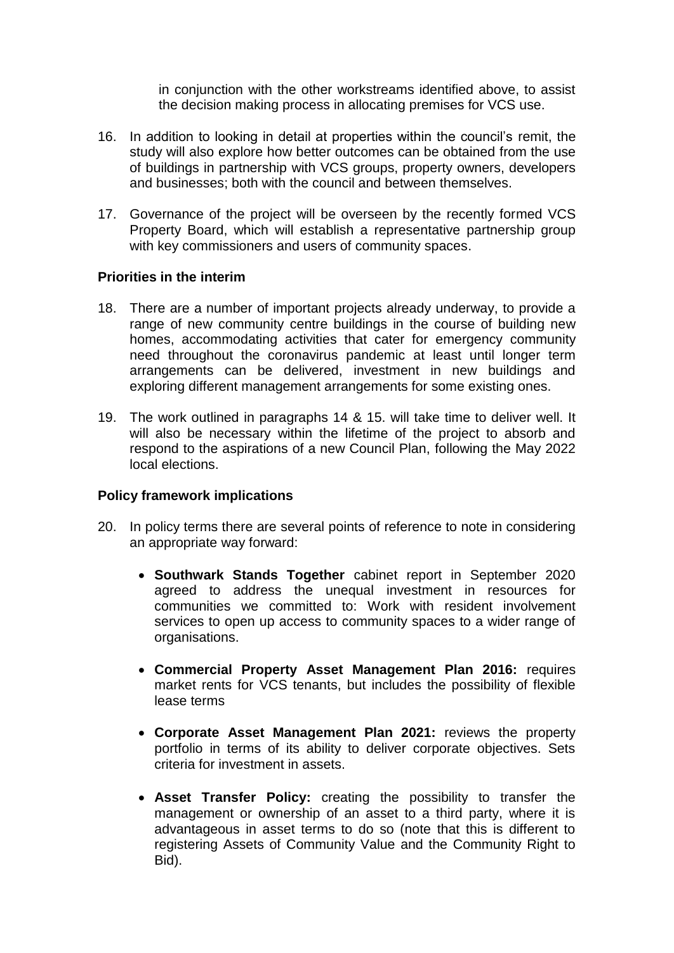in conjunction with the other workstreams identified above, to assist the decision making process in allocating premises for VCS use.

- 16. In addition to looking in detail at properties within the council's remit, the study will also explore how better outcomes can be obtained from the use of buildings in partnership with VCS groups, property owners, developers and businesses; both with the council and between themselves.
- 17. Governance of the project will be overseen by the recently formed VCS Property Board, which will establish a representative partnership group with key commissioners and users of community spaces.

#### **Priorities in the interim**

- 18. There are a number of important projects already underway, to provide a range of new community centre buildings in the course of building new homes, accommodating activities that cater for emergency community need throughout the coronavirus pandemic at least until longer term arrangements can be delivered, investment in new buildings and exploring different management arrangements for some existing ones.
- 19. The work outlined in paragraphs 14 & 15. will take time to deliver well. It will also be necessary within the lifetime of the project to absorb and respond to the aspirations of a new Council Plan, following the May 2022 local elections.

# **Policy framework implications**

- 20. In policy terms there are several points of reference to note in considering an appropriate way forward:
	- **Southwark Stands Together** cabinet report in September 2020 agreed to address the unequal investment in resources for communities we committed to: Work with resident involvement services to open up access to community spaces to a wider range of organisations.
	- **Commercial Property Asset Management Plan 2016:** requires market rents for VCS tenants, but includes the possibility of flexible lease terms
	- **Corporate Asset Management Plan 2021:** reviews the property portfolio in terms of its ability to deliver corporate objectives. Sets criteria for investment in assets.
	- **Asset Transfer Policy:** creating the possibility to transfer the management or ownership of an asset to a third party, where it is advantageous in asset terms to do so (note that this is different to registering Assets of Community Value and the Community Right to Bid).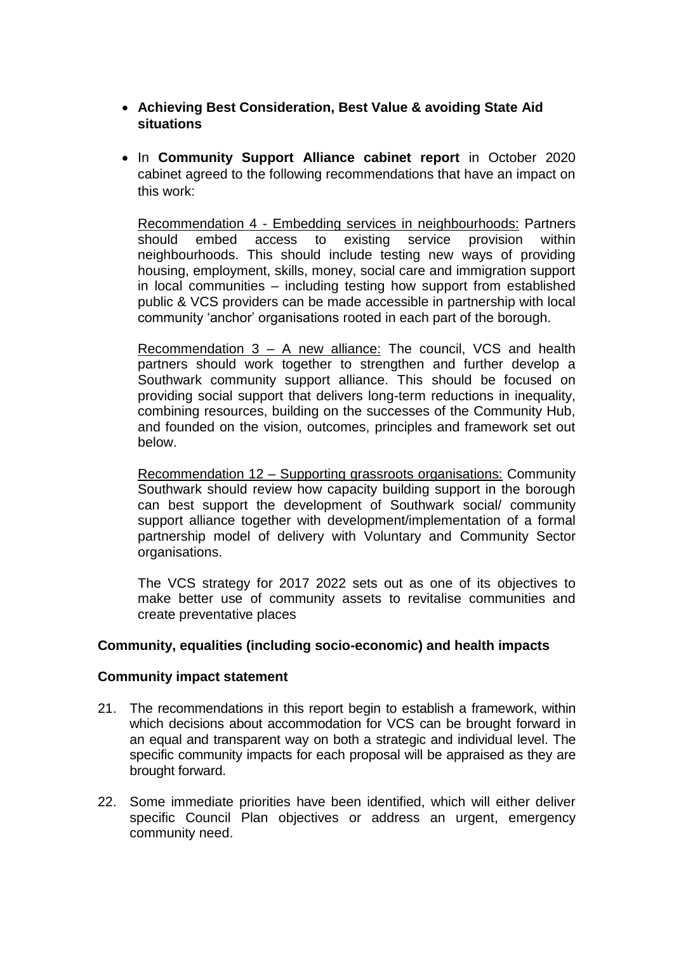- **Achieving Best Consideration, Best Value & avoiding State Aid situations**
- In **Community Support Alliance cabinet report** in October 2020 cabinet agreed to the following recommendations that have an impact on this work:

Recommendation 4 - Embedding services in neighbourhoods: Partners should embed access to existing service provision within neighbourhoods. This should include testing new ways of providing housing, employment, skills, money, social care and immigration support in local communities – including testing how support from established public & VCS providers can be made accessible in partnership with local community 'anchor' organisations rooted in each part of the borough.

Recommendation 3 – A new alliance: The council, VCS and health partners should work together to strengthen and further develop a Southwark community support alliance. This should be focused on providing social support that delivers long-term reductions in inequality, combining resources, building on the successes of the Community Hub, and founded on the vision, outcomes, principles and framework set out below.

Recommendation 12 – Supporting grassroots organisations: Community Southwark should review how capacity building support in the borough can best support the development of Southwark social/ community support alliance together with development/implementation of a formal partnership model of delivery with Voluntary and Community Sector organisations.

The VCS strategy for 2017 2022 sets out as one of its objectives to make better use of community assets to revitalise communities and create preventative places

# **Community, equalities (including socio-economic) and health impacts**

#### **Community impact statement**

- 21. The recommendations in this report begin to establish a framework, within which decisions about accommodation for VCS can be brought forward in an equal and transparent way on both a strategic and individual level. The specific community impacts for each proposal will be appraised as they are brought forward.
- 22. Some immediate priorities have been identified, which will either deliver specific Council Plan objectives or address an urgent, emergency community need.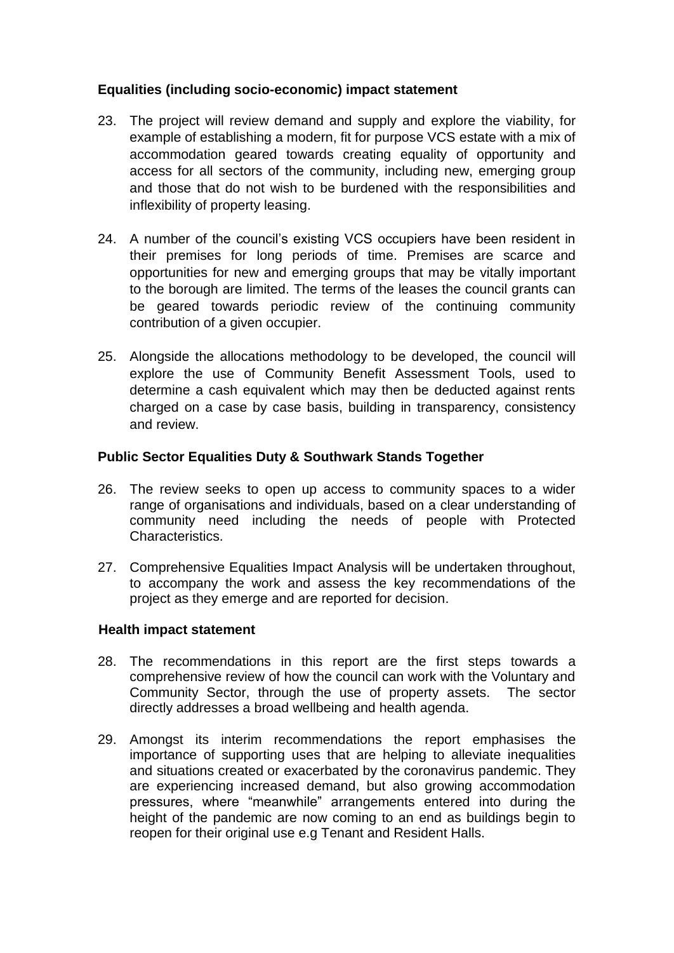# **Equalities (including socio-economic) impact statement**

- 23. The project will review demand and supply and explore the viability, for example of establishing a modern, fit for purpose VCS estate with a mix of accommodation geared towards creating equality of opportunity and access for all sectors of the community, including new, emerging group and those that do not wish to be burdened with the responsibilities and inflexibility of property leasing.
- 24. A number of the council's existing VCS occupiers have been resident in their premises for long periods of time. Premises are scarce and opportunities for new and emerging groups that may be vitally important to the borough are limited. The terms of the leases the council grants can be geared towards periodic review of the continuing community contribution of a given occupier.
- 25. Alongside the allocations methodology to be developed, the council will explore the use of Community Benefit Assessment Tools, used to determine a cash equivalent which may then be deducted against rents charged on a case by case basis, building in transparency, consistency and review.

# **Public Sector Equalities Duty & Southwark Stands Together**

- 26. The review seeks to open up access to community spaces to a wider range of organisations and individuals, based on a clear understanding of community need including the needs of people with Protected Characteristics.
- 27. Comprehensive Equalities Impact Analysis will be undertaken throughout, to accompany the work and assess the key recommendations of the project as they emerge and are reported for decision.

# **Health impact statement**

- 28. The recommendations in this report are the first steps towards a comprehensive review of how the council can work with the Voluntary and Community Sector, through the use of property assets. The sector directly addresses a broad wellbeing and health agenda.
- 29. Amongst its interim recommendations the report emphasises the importance of supporting uses that are helping to alleviate inequalities and situations created or exacerbated by the coronavirus pandemic. They are experiencing increased demand, but also growing accommodation pressures, where "meanwhile" arrangements entered into during the height of the pandemic are now coming to an end as buildings begin to reopen for their original use e.g Tenant and Resident Halls.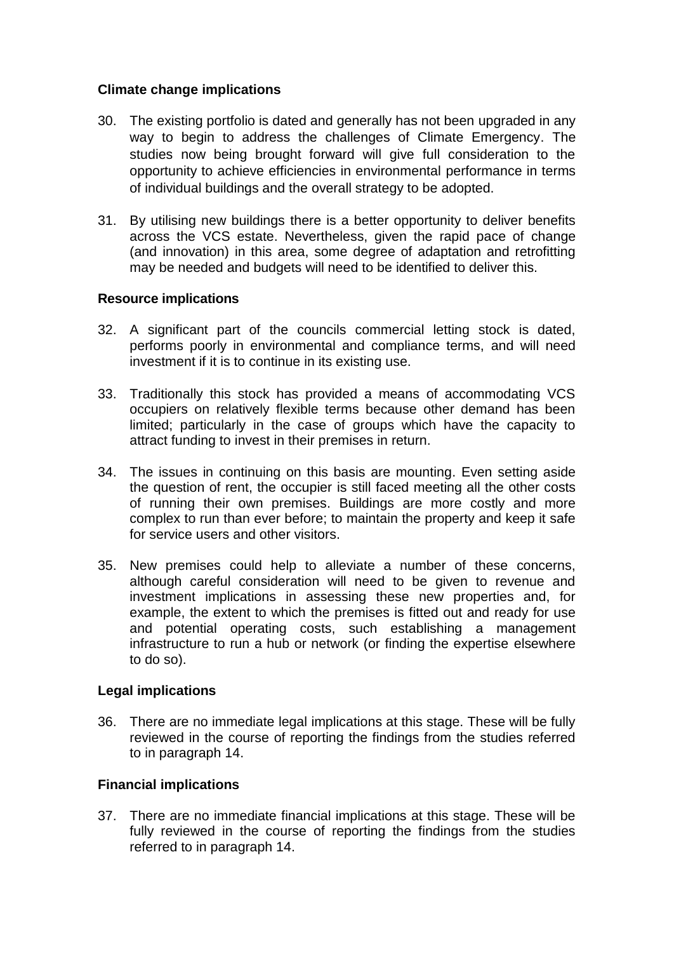# **Climate change implications**

- 30. The existing portfolio is dated and generally has not been upgraded in any way to begin to address the challenges of Climate Emergency. The studies now being brought forward will give full consideration to the opportunity to achieve efficiencies in environmental performance in terms of individual buildings and the overall strategy to be adopted.
- 31. By utilising new buildings there is a better opportunity to deliver benefits across the VCS estate. Nevertheless, given the rapid pace of change (and innovation) in this area, some degree of adaptation and retrofitting may be needed and budgets will need to be identified to deliver this.

# **Resource implications**

- 32. A significant part of the councils commercial letting stock is dated, performs poorly in environmental and compliance terms, and will need investment if it is to continue in its existing use.
- 33. Traditionally this stock has provided a means of accommodating VCS occupiers on relatively flexible terms because other demand has been limited; particularly in the case of groups which have the capacity to attract funding to invest in their premises in return.
- 34. The issues in continuing on this basis are mounting. Even setting aside the question of rent, the occupier is still faced meeting all the other costs of running their own premises. Buildings are more costly and more complex to run than ever before; to maintain the property and keep it safe for service users and other visitors.
- 35. New premises could help to alleviate a number of these concerns, although careful consideration will need to be given to revenue and investment implications in assessing these new properties and, for example, the extent to which the premises is fitted out and ready for use and potential operating costs, such establishing a management infrastructure to run a hub or network (or finding the expertise elsewhere to do so).

# **Legal implications**

36. There are no immediate legal implications at this stage. These will be fully reviewed in the course of reporting the findings from the studies referred to in paragraph 14.

# **Financial implications**

37. There are no immediate financial implications at this stage. These will be fully reviewed in the course of reporting the findings from the studies referred to in paragraph 14.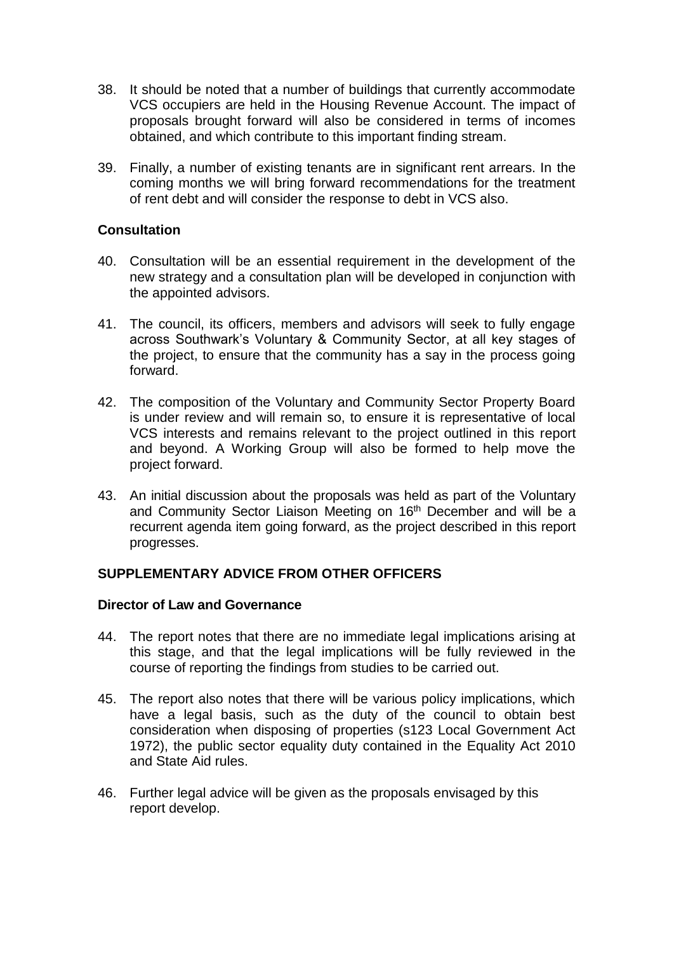- 38. It should be noted that a number of buildings that currently accommodate VCS occupiers are held in the Housing Revenue Account. The impact of proposals brought forward will also be considered in terms of incomes obtained, and which contribute to this important finding stream.
- 39. Finally, a number of existing tenants are in significant rent arrears. In the coming months we will bring forward recommendations for the treatment of rent debt and will consider the response to debt in VCS also.

# **Consultation**

- 40. Consultation will be an essential requirement in the development of the new strategy and a consultation plan will be developed in conjunction with the appointed advisors.
- 41. The council, its officers, members and advisors will seek to fully engage across Southwark's Voluntary & Community Sector, at all key stages of the project, to ensure that the community has a say in the process going forward.
- 42. The composition of the Voluntary and Community Sector Property Board is under review and will remain so, to ensure it is representative of local VCS interests and remains relevant to the project outlined in this report and beyond. A Working Group will also be formed to help move the project forward.
- 43. An initial discussion about the proposals was held as part of the Voluntary and Community Sector Liaison Meeting on 16<sup>th</sup> December and will be a recurrent agenda item going forward, as the project described in this report progresses.

# **SUPPLEMENTARY ADVICE FROM OTHER OFFICERS**

#### **Director of Law and Governance**

- 44. The report notes that there are no immediate legal implications arising at this stage, and that the legal implications will be fully reviewed in the course of reporting the findings from studies to be carried out.
- 45. The report also notes that there will be various policy implications, which have a legal basis, such as the duty of the council to obtain best consideration when disposing of properties (s123 Local Government Act 1972), the public sector equality duty contained in the Equality Act 2010 and State Aid rules.
- 46. Further legal advice will be given as the proposals envisaged by this report develop.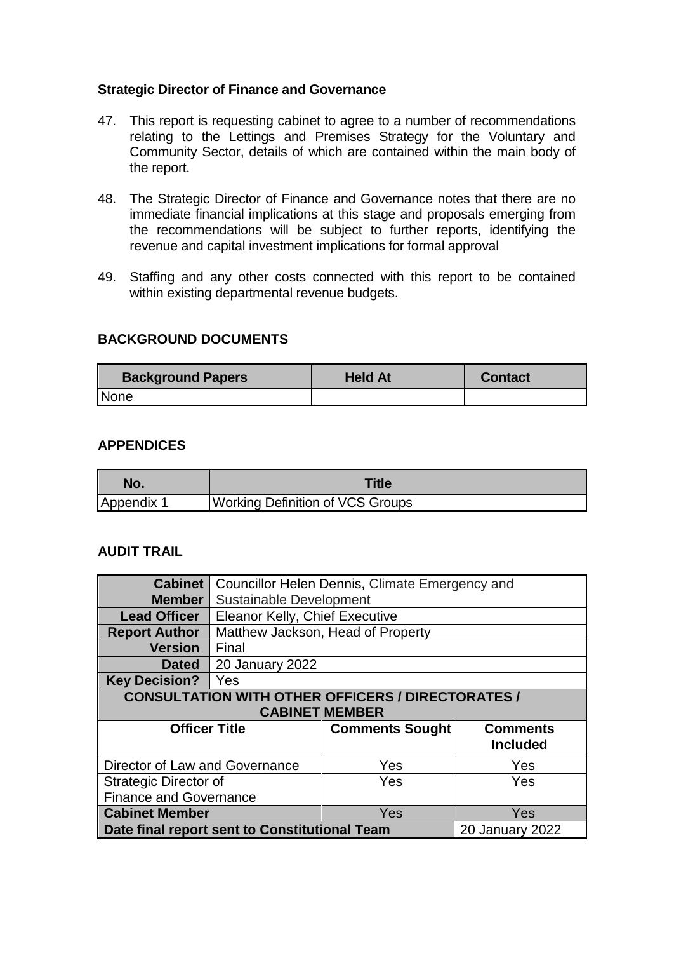# **Strategic Director of Finance and Governance**

- 47. This report is requesting cabinet to agree to a number of recommendations relating to the Lettings and Premises Strategy for the Voluntary and Community Sector, details of which are contained within the main body of the report.
- 48. The Strategic Director of Finance and Governance notes that there are no immediate financial implications at this stage and proposals emerging from the recommendations will be subject to further reports, identifying the revenue and capital investment implications for formal approval
- 49. Staffing and any other costs connected with this report to be contained within existing departmental revenue budgets.

#### **BACKGROUND DOCUMENTS**

| <b>Background Papers</b> | <b>Held At</b> | <b>Contact</b> |
|--------------------------|----------------|----------------|
| None                     |                |                |

#### **APPENDICES**

| No.        | <b>Title</b>                            |
|------------|-----------------------------------------|
| Appendix 1 | <b>Working Definition of VCS Groups</b> |

# **AUDIT TRAIL**

| <b>Cabinet</b>                                           |                                                |                        |                 |  |  |  |
|----------------------------------------------------------|------------------------------------------------|------------------------|-----------------|--|--|--|
|                                                          | Councillor Helen Dennis, Climate Emergency and |                        |                 |  |  |  |
| <b>Member</b>                                            | Sustainable Development                        |                        |                 |  |  |  |
| <b>Lead Officer</b>                                      | Eleanor Kelly, Chief Executive                 |                        |                 |  |  |  |
| <b>Report Author</b>                                     | Matthew Jackson, Head of Property              |                        |                 |  |  |  |
| <b>Version</b>                                           | Final                                          |                        |                 |  |  |  |
| <b>Dated</b>                                             | <b>20 January 2022</b>                         |                        |                 |  |  |  |
| <b>Key Decision?</b>                                     | Yes                                            |                        |                 |  |  |  |
| <b>CONSULTATION WITH OTHER OFFICERS / DIRECTORATES /</b> |                                                |                        |                 |  |  |  |
| <b>CABINET MEMBER</b>                                    |                                                |                        |                 |  |  |  |
|                                                          |                                                |                        |                 |  |  |  |
| <b>Officer Title</b>                                     |                                                |                        | <b>Comments</b> |  |  |  |
|                                                          |                                                | <b>Comments Sought</b> |                 |  |  |  |
|                                                          |                                                |                        | <b>Included</b> |  |  |  |
| Director of Law and Governance                           |                                                | Yes                    | Yes             |  |  |  |
| Strategic Director of                                    |                                                | Yes                    | Yes             |  |  |  |
| <b>Finance and Governance</b>                            |                                                |                        |                 |  |  |  |
| <b>Cabinet Member</b>                                    |                                                | Yes                    | Yes             |  |  |  |